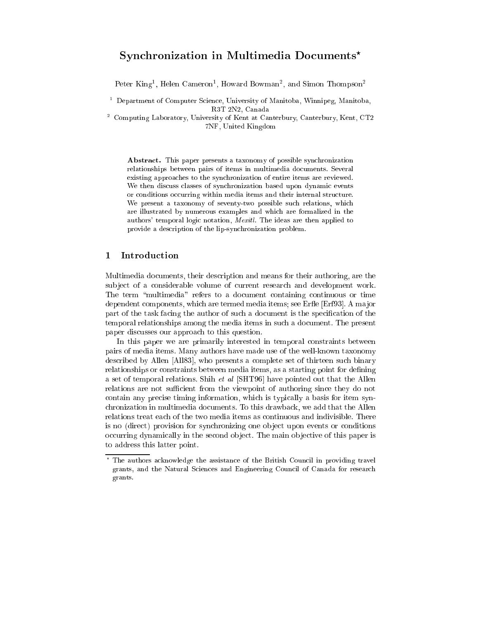# Synchronization in Multimedia Documents\*

Peter King-, Helen Cameron-, Howard Dowman-, and Simon Thompson-

the Department of Computer Science, University of Manitoba, Winnipeg, Manitoba,  $\overline{\phantom{a}}$ R3T 2N2, Canada

<sup>2</sup> Computing Laboratory, University of Kent at Canterbury, Canterbury, Kent, CT2 7NF, United Kingdom

Abstract. This paper presents a taxonomy of possible synchronization relationships between pairs of items in multimedia documents. Several existing approaches to the synchronization of entire items are reviewed. We then discuss classes of synchronization based upon dynamic events or conditions occurring within media items and their internal structure. We present a taxonomy of seventy-two possible such relations, which are illustrated by numerous examples and which are formalized in the authors' temporal logic notation, *Mexitl*. The ideas are then applied to provide a description of the lip-synchronization problem.

# 1 Introduction

Multimedia documents, their description and means for their authoring, are the subject of a considerable volume of current research and development work. The term "multimedia" refers to a document containing continuous or time dependent components, which are termed media items; see Erfle [Erf93]. A major part of the task facing the author of such a document is the specication of the temporal relationships among the media items in such a document. The present paper discusses our approach to this question.

In this paper we are primarily interested in temporal constraints between pairs of media items. Many authors have made use of the well-known taxonomy described by Allen [All83], who presents a complete set of thirteen such binary relationships or constraints between media items, as a starting point for defining a set of temporal relations. Shih et al [SHT96] have pointed out that the Allen relations are not sufficient from the viewpoint of authoring since they do not contain any precise timing information, which is typically a basis for item synchronization in multimedia documents. To this drawback, we add that the Allen relations treat each of the two media items as continuous and indivisible. There is no (direct) provision for synchronizing one ob ject upon events or conditions occurring dynamically in the second object. The main objective of this paper is to address this latter point.

The authors acknowledge the assistance of the British Council in providing travel grants, and the Natural Sciences and Engineering Council of Canada for research grants.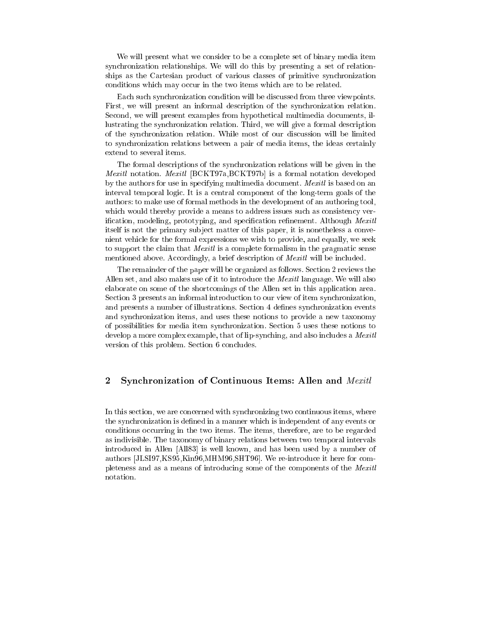We will present what we consider to be a complete set of binary media item synchronization relationships. We will do this by presenting a set of relationships as the Cartesian product of various classes of primitive synchronization conditions which may occur in the two items which are to be related.

Each such synchronization condition will be discussed from three viewpoints. First, we will present an informal description of the synchronization relation. Second, we will present examples from hypothetical multimedia documents, illustrating the synchronization relation. Third, we will give a formal description of the synchronization relation. While most of our discussion will be limited to synchronization relations between a pair of media items, the ideas certainly extend to several items.

The formal descriptions of the synchronization relations will be given in the mexiti notation. Mexitize  $\mu$  formal notation, is a formal notation developed  $\mu$ by the authors for use in specifying multimedia document. *Mexitl* is based on an interval temporal logic. It is a central component of the long-term goals of the authors: to make use of formal methods in the development of an authoring tool, which would thereby provide a means to address issues such as consistency verification, modeling, prototyping, and specification refinement. Although *Mexitl* itself is not the primary sub ject matter of this paper, it is nonetheless a convenient vehicle for the formal expressions we wish to provide, and equally, we seek to support the claim that *Mexitl* is a complete formalism in the pragmatic sense mentioned above. Accordingly, a brief description of Mexitl will be included.

The remainder of the paper will be organized as follows. Section 2 reviews the Allen set, and also makes use of it to introduce the Mexitl language. We will also elaborate on some of the shortcomings of the Allen set in this application area. Section 3 presents an informal introduction to our view of item synchronization, and presents a number of illustrations. Section 4 denes synchronization events and synchronization items, and uses these notions to provide a new taxonomy of possibilities for media item synchronization. Section 5 uses these notions to develop a more complex example, that of lip-synching, and also includes a *Mexitl* version of this problem. Section 6 concludes.

# 2 Synchronization of Continuous Items: Allen and Mexitl

In this section, we are concerned with synchronizing two continuous items, where the synchronization is defined in a manner which is independent of any events or conditions occurring in the two items. The items, therefore, are to be regarded as indivisible. The taxonomy of binary relations between two temporal intervals introduced in Allen [All83] is well known, and has been used by a number of authors [JLSI97,KS95,Kin96,MHM96,SHT96]. We re-introduce it here for completeness and as a means of introducing some of the components of the Mexitl notation.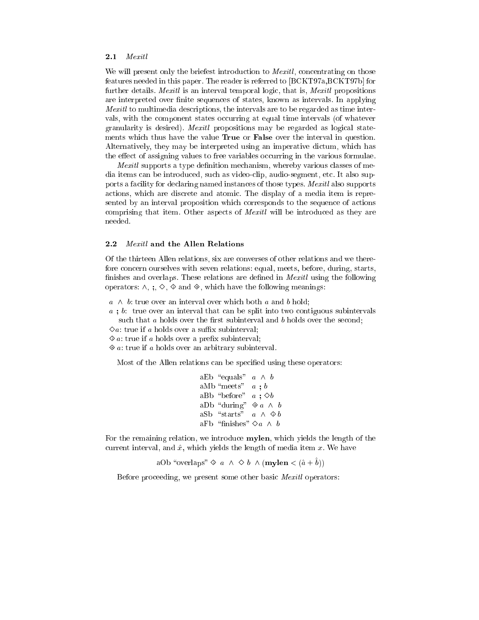#### 2.1 Mexitl

We will present only the briefest introduction to *Mexitl*, concentrating on those features needed in this paper. The reader is referred to [BCKT97a,BCKT97b] for further details. *Mexitl* is an interval temporal logic, that is, *Mexitl* propositions are interpreted over finite sequences of states, known as intervals. In applying Mexitl to multimedia descriptions, the intervals are to be regarded as time intervals, with the component states occurring at equal time intervals (of whatever granularity is desired). Mexitl propositions may be regarded as logical statements which thus have the value True or False over the interval in question. Alternatively, they may be interpreted using an imperative dictum, which has the effect of assigning values to free variables occurring in the various formulae.

Mexitl supports a type denition mechanism, whereby various classes of media items can be introduced, such as video-clip, audio-segment, etc. It also supports a facility for declaring named instances of those types. Mexitl also supports actions, which are discrete and atomic. The display of a media item is represented by an interval proposition which corresponds to the sequence of actions comprising that item. Other aspects of Mexitl will be introduced as they are needed.

#### $2.2$ Mexitl and the Allen Relations

Of the thirteen Allen relations, six are converses of other relations and we therefore concern ourselves with seven relations: equal, meets, before, during, starts, finishes and overlaps. These relations are defined in *Mexitl* using the following operators:  $\wedge$ ,  $\vee$ ,  $\vee$  and  $\vee$ , which have the following meanings.

- $a \wedge b$ : true over an interval over which both a and b hold;
- $a$ ;  $b$ : true over an interval that can be split into two contiguous subintervals such that  $a$  holds over the first subinterval and  $b$  holds over the second;
- $\Diamond a$ : true if a holds over a suffix subinterval;
- $\Diamond a$ : true if a holds over a prefix subinterval;
- $\hat{\Phi}$  a: true if a holds over an arbitrary subinterval.

Most of the Allen relations can be specified using these operators:

aEb "equals"  $a \wedge b$ aMb "meets"  $a : b$ aBb "before"  $a$ ;  $\diamond b$ aDb "during"  $\otimes a \wedge b$ aSb "starts"  $a \wedge \Phi b$ aFb "finishes"  $\diamond a \wedge b$ 

For the remaining relation, we introduce mylen, which yields the length of the current interval, and  $\hat{x}$ , which yields the length of media item x. We have

aOb overlaps  $\vee$  a  $\wedge$   $\vee$   $\vee$   $\wedge$  (mylen  $\lt$  ( $\alpha$   $\pm$   $\upsilon$ ))

Before proceeding, we present some other basic Mexitl operators: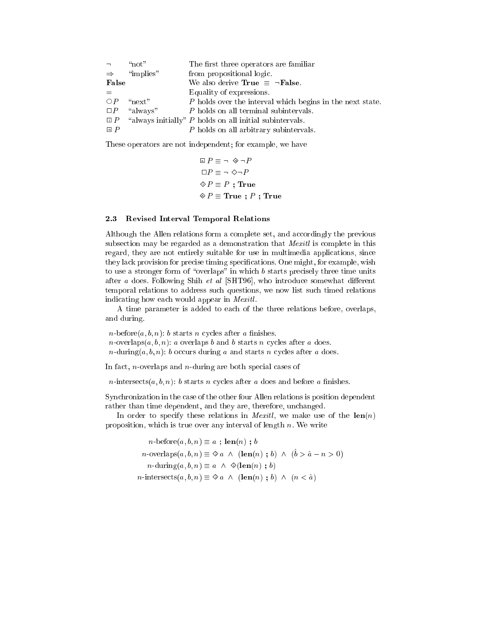| $\overline{\phantom{a}}$ | " $not"$  | The first three operators are familiar                    |
|--------------------------|-----------|-----------------------------------------------------------|
| $\Rightarrow$            | "implies" | from propositional logic.                                 |
| False                    |           | We also derive <b>True</b> $\equiv \neg$ <b>False</b> .   |
|                          |           | Equality of expressions.                                  |
| $\bigcirc P$             | "next"    | P holds over the interval which begins in the next state. |
| $\Box P$                 | "always"  | P holds on all terminal subintervals.                     |
| $\Box P$                 |           | "always initially" $P$ holds on all initial subintervals. |
| $\Box P$                 |           | P holds on all arbitrary subintervals.                    |

These operators are not independent; for example, we have

a  $P \equiv \neg \; \; \; \; \; \; \neg P$  $\Box P \equiv \neg \Diamond \neg P$  $\Phi P \equiv P$ ; True  $\hat{\Phi} P \equiv$  True ; P ; True

#### 2.3 Revised Interval Temporal Relations

Although the Allen relations form a complete set, and accordingly the previous subsection may be regarded as a demonstration that *Mexitl* is complete in this regard, they are not entirely suitable for use in multimedia applications, since they lack provision for precise timing specifications. One might, for example, wish to use a stronger form of "overlaps" in which  $b$  starts precisely three time units after a does. Following Shih et al  $[SHT96]$ , who introduce somewhat different temporal relations to address such questions, we now list such timed relations indicating how each would appear in *Mexitl*.

A time parameter is added to each of the three relations before, overlaps, and during.

 $n\text{-before}(a, b, n)$ : b starts n cycles after a finishes.  $n$ -overlaps $(a, b, n)$ : a overlaps b and b starts n cycles after a does.  $n$ -during $(a, b, n)$ : b occurs during a and starts n cycles after a does.

In fact, *n*-overlaps and *n*-during are both special cases of

*n*-intersects $(a, b, n)$ : *b* starts *n* cycles after *a* does and before *a* finishes.

Synchronization in the case of the other four Allen relations is position dependent rather than time dependent, and they are, therefore, unchanged.

In order to specify these relations in *Mexitl*, we make use of the  $len(n)$ proposition, which is true over any interval of length  $n$ . We write

> $n\text{-before}(a, b, n) \equiv a$ ;  $\text{len}(n)$ ; b  $n$ -overlaps(a,  $v, n$ )  $\equiv \forall a \land$  (refl(n), b)  $\land$  ( $v > a - n > 0$ )  $n$ -during $(a, b, n) \equiv a \land \mathcal{D}(\text{len}(n) ; b)$ n-intersects $(a, b, n) \equiv \hat{\otimes} a \land (len(n) ; b) \land (n < \hat{a})$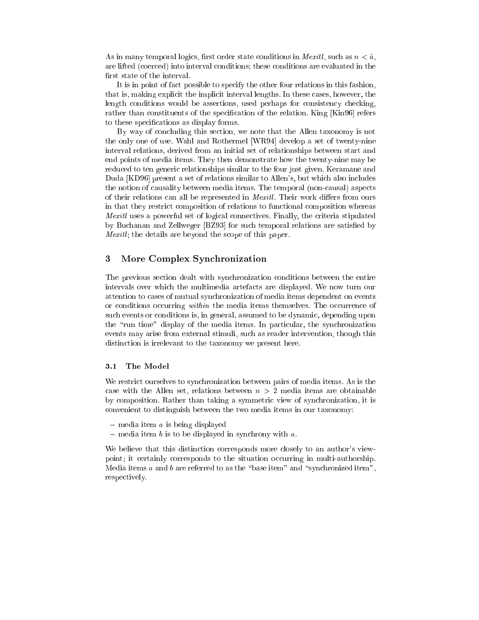As in many temporal logics, first order state conditions in *Mexitl*, such as  $n < \hat{a}$ , are lifted (coerced) into interval conditions; these conditions are evaluated in the first state of the interval.

It is in point of fact possible to specify the other four relations in this fashion, that is, making explicit the implicit interval lengths. In these cases, however, the length conditions would be assertions, used perhaps for consistency checking, rather than constituents of the specification of the relation. King [Kin96] refers to these specications as display forms.

By way of concluding this section, we note that the Allen taxonomy is not the only one of use. Wahl and Rothermel [WR94] develop a set of twenty-nine interval relations, derived from an initial set of relationships between start and end points of media items. They then demonstrate how the twenty-nine may be reduced to ten generic relationships similar to the four just given. Keramane and Duda [KD96] present a set of relations similar to Allen's, but which also includes the notion of causality between media items. The temporal (non-causal) aspects of their relations can all be represented in *Mexitl*. Their work differs from ours in that they restrict composition of relations to functional composition whereas Mexical set of logical connections and connectives. Finally, the criteria stipulated connection stipulated connections of  $\mathbb{R}^n$ by Buchanan and Zellweger [BZ93] for such temporal relations are satisfied by mean in the details are been one that the score paper. The score paper of the

## 3 More Complex Synchronization

The previous section dealt with synchronization conditions between the entire intervals over which the multimedia artefacts are displayed. We now turn our attention to cases of mutual synchronization of media items dependent on events or conditions occurring within the media items themselves. The occurrence of such events or conditions is, in general, assumed to be dynamic, depending upon the \run time" display of the media items. In particular, the synchronization events may arise from external stimuli, such as reader intervention, though this distinction is irrelevant to the taxonomy we present here.

#### $3.1$ The Model

We restrict ourselves to synchronization between pairs of media items. As is the case with the Allen set, relations between  $n > 2$  media items are obtainable by composition. Rather than taking a symmetric view of synchronization, it is convenient to distinguish between the two media items in our taxonomy:

- $-$  media item  $\alpha$  is being displayed
- $-$  media item b is to be displayed in synchrony with a.

We believe that this distinction corresponds more closely to an author's viewpoint; it certainly corresponds to the situation occurring in multi-authorship. Media items  $a$  and  $b$  are referred to as the "base item" and "synchronized item", respectively.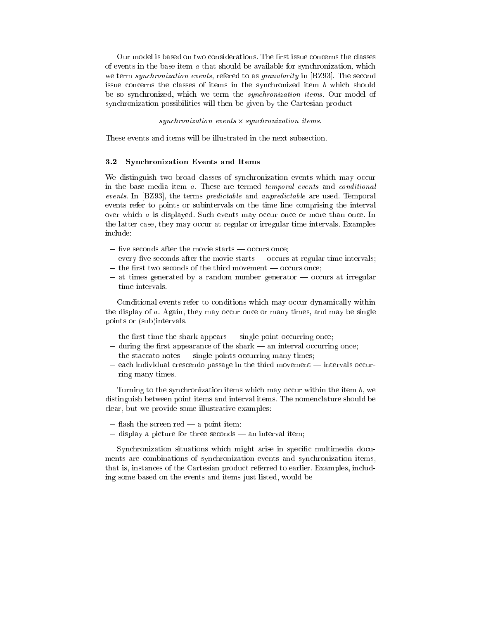Our model is based on two considerations. The first issue concerns the classes of events in the base item <sup>a</sup> that should be available for synchronization, which we term *synchronization events*, refered to as *granularity* in [BZ93]. The second issue concerns the classes of items in the synchronized item <sup>b</sup> which should be so synchronized, which we term the synchronization items. Our model of synchronization possibilities will then be given by the Cartesian product

synchronization events - synchronization items.

These events and items will be illustrated in the next subsection.

#### 3.2 Synchronization Events and Items

We distinguish two broad classes of synchronization events which may occur in the base media item a. These are termed temporal events and conditional events. In [BZ93], the terms predictable and unpredictable are used. Temporal events refer to points or subintervals on the time line comprising the interval over which <sup>a</sup> is displayed. Such events may occur once or more than once. In the latter case, they may occur at regular or irregular time intervals. Examples include:

- $-$  five seconds after the movie starts  $-$  occurs once;
- $-$  every five seconds after the movie starts  $-$  occurs at regular time intervals;
- $-$  the first two seconds of the third movement  $-$  occurs once;
- $-$  at times generated by a random number generator  $-$  occurs at irregular time intervals.

Conditional events refer to conditions which may occur dynamically within the display of a. Again, they may occur once or many times, and may be single points or (sub)intervals.

- ${\rm -}$  the first time the shark appears  ${\rm -}$  single point occurring once;
- $\frac{1}{2}$  during the first appearance of the shark  $\frac{1}{2}$  an interval occurring once;
- the staccato notes single points occurring many times;
- $=$  each individual crescendo passage in the third movement  $-$  intervals occurring many times.

Turning to the synchronization items which may occur within the item  $b$ , we distinguish between point items and interval items. The nomenclature should be clear, but we provide some illustrative examples:

- $-$  flash the screen red  $-$  a point item;
- display a picture for three seconds an interval item;

Synchronization situations which might arise in specific multimedia documents are combinations of synchronization events and synchronization items, that is, instances of the Cartesian product referred to earlier. Examples, including some based on the events and items just listed, would be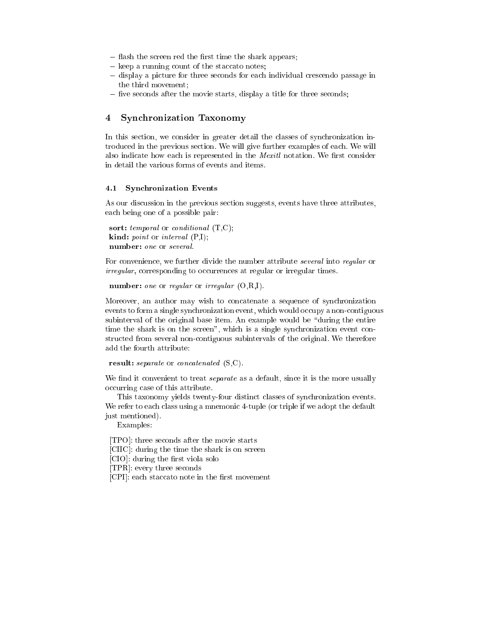- $-$  flash the screen red the first time the shark appears;
- $\frac{1}{\frac{1}{2}}$  keep a running count of the staccato notes;
- { display a picture for three seconds for each individual crescendo passage in the third movement;
- five seconds after the movie starts, display a title for three seconds;

#### **Synchronization Taxonomy**  $\overline{4}$

In this section, we consider in greater detail the classes of synchronization introduced in the previous section. We will give further examples of each. We will also indicate how each is represented in the *Mexitl* notation. We first consider in detail the various forms of events and items.

#### 4.1 Synchronization Events

As our discussion in the previous section suggests, events have three attributes, each being one of a possible pair:

sort: temporal or conditional  $(T, C)$ ; kind: *point* or *interval* (P,I); number: one or several.

For convenience, we further divide the number attribute several into regular or irregular, corresponding to occurrences at regular or irregular times.

number: one or regular or irregular  $(O,R,I)$ .

Moreover, an author may wish to concatenate a sequence of synchronization events to form a single synchronization event, which would occupy a non-contiguous subinterval of the original base item. An example would be "during the entire time the shark is on the screen", which is a single synchronization event constructed from several non-contiguous subintervals of the original. We therefore add the fourth attribute:

```
result: separate or concatenated (S,C).
```
We find it convenient to treat *separate* as a default, since it is the more usually occurring case of this attribute.

This taxonomy yields twenty-four distinct classes of synchronization events. We refer to each class using a mnemonic 4-tuple (or triple if we adopt the default just mentioned).

Examples:

[TPO]: three seconds after the movie starts

[CIIC]: during the time the shark is on screen

 $[CIO]$ : during the first viola solo

[TPR]: every three seconds

[CPI]: each staccato note in the first movement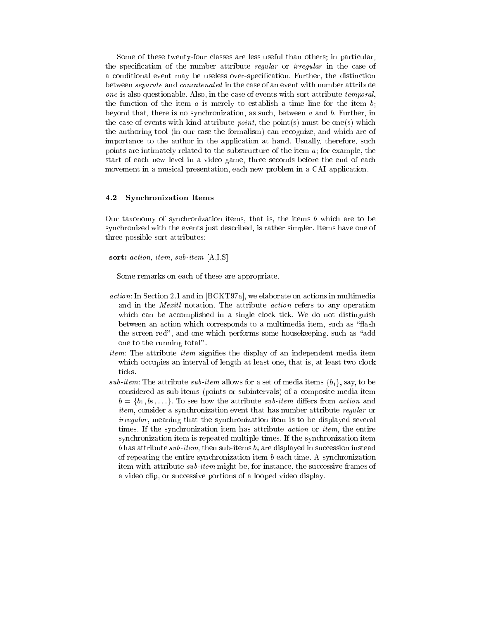Some of these twenty-four classes are less useful than others; in particular, the specification of the number attribute *regular* or *irregular* in the case of a conditional event may be useless over-specication. Further, the distinction between separate and concatenated in the case of an event with number attribute one is also questionable. Also, in the case of events with sort attribute temporal, the function of the item  $a$  is merely to establish a time line for the item  $b$ ; beyond that, there is no synchronization, as such, between  $a$  and  $b$ . Further, in the case of events with kind attribute *point*, the point(s) must be one(s) which the authoring tool (in our case the formalism) can recognize, and which are of importance to the author in the application at hand. Usually, therefore, such points are intimately related to the substructure of the item  $a_i$ ; for example, the start of each new level in a video game, three seconds before the end of each movement in a musical presentation, each new problem in a CAI application.

#### 4.2 Synchronization Items

Our taxonomy of synchronization items, that is, the items  $b$  which are to be synchronized with the events just described, is rather simpler. Items have one of three possible sort attributes:

sort: *action*, *item*, *sub-item* [A,I,S]

Some remarks on each of these are appropriate.

- action: In Section 2.1 and in [BCKT97a], we elaborate on actions in multimedia and in the Mexitl notation. The attribute action refers to any operation which can be accomplished in a single clock tick. We do not distinguish between an action which corresponds to a multimedia item, such as "flash" the screen red", and one which performs some housekeeping, such as "add one to the running total".
- *item*: The attribute *item* signifies the display of an independent media item which occupies an interval of length at least one, that is, at least two clock ticks.
- sub-item: The attribute sub-item allows for a set of media items  $\{b_i\}$ , say, to be considered as sub-items (points or subintervals) of a composite media item  $b = \{b_1, b_2, \ldots\}$ . To see how the attribute sub-item differs from action and item, consider a synchronization event that has number attribute regular or irregular, meaning that the synchronization item is to be displayed several times. If the synchronization item has attribute *action* or *item*, the entire synchronization item is repeated multiple times. If the synchronization item b has attribute sub-item, then sub-items  $b_i$  are displayed in succession instead of repeating the entire synchronization item  $b$  each time. A synchronization item with attribute sub-item might be, for instance, the successive frames of a video clip, or successive portions of a looped video display.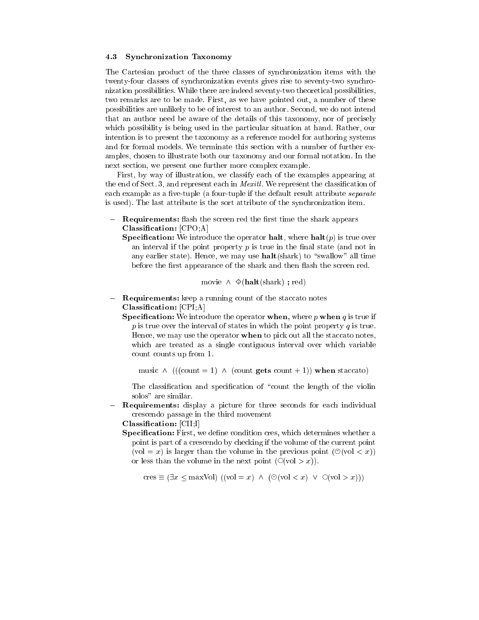### 4.3 Synchronization Taxonomy

The Cartesian product of the three classes of synchronization items with the twenty-four classes of synchronization events gives rise to seventy-two synchronization possibilities. While there are indeed seventy-two theoretical possibilities, two remarks are to be made. First, as we have pointed out, a number of these possibilities are unlikely to be of interest to an author. Second, we do not intend that an author need be aware of the details of this taxonomy, nor of precisely which possibility is being used in the particular situation at hand. Rather, our intention is to present the taxonomy as a reference model for authoring systems and for formal models. We terminate this section with a number of further examples, chosen to illustrate both our taxonomy and our formal notation. In the next section, we present one further more complex example.

First, by way of illustration, we classify each of the examples appearing at the end of Sect. 3, and represent each in *Mexitl*. We represent the classification of each example as a five-tuple (a four-tuple if the default result attribute separate is used). The last attribute is the sort attribute of the synchronization item.

- **Requirements:** flash the screen red the first time the shark appears Classication: [CPO;A]
	- **Specification:** We introduce the operator **halt**, where **halt** $(p)$  is true over an interval if the point property  $p$  is true in the final state (and not in any earlier state). Hence, we may use  $halt(shark)$  to "swallow" all time before the first appearance of the shark and then flash the screen red.

$$
move \wedge \Diamond(halt(shark) ; red)
$$

- **Requirements:** keep a running count of the staccato notes Classication: [CPI;A]
	- **Specification:** We introduce the operator when, where p when q is true if p is true over the interval of states in which the point property  $q$  is true. Hence, we may use the operator when to pick out all the staccato notes, which are treated as a single contiguous interval over which variable count counts up from 1.

music  $\wedge$  (((count = 1)  $\wedge$  (count gets count + 1)) when staccato)

The classification and specification of "count the length of the violin solos" are similar.

**Requirements:** display a picture for three seconds for each individual crescendo passage in the third movement

#### Classication: [CII;I]

**Specification:** First, we define condition cres, which determines whether a point is part of a crescendo by checking if the volume of the current point  $(vol = x)$  is larger than the volume in the previous point  $(\bigcirc(vol < x))$ or less than the volume in the next point  $(\bigcirc(\text{vol} > x))$ .

$$
cres \equiv (\exists x \le \max Vol) \ ((vol = x) \ \wedge \ (\odot (vol < x) \ \vee \ \odot (vol > x)))
$$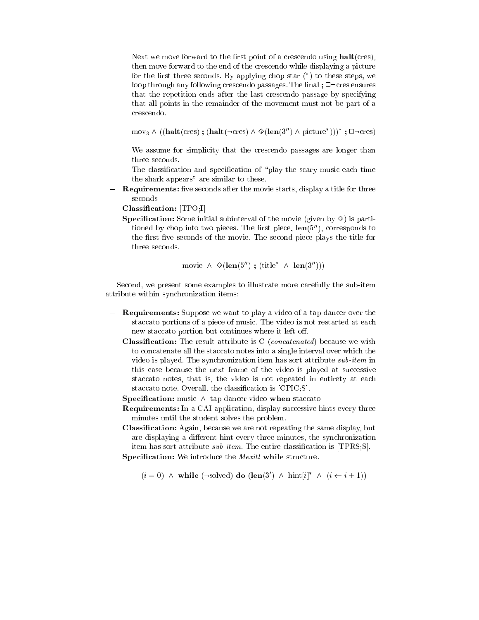Next we move forward to the first point of a crescendo using  $\text{halt}(\text{cres})$ , then move forward to the end of the crescendo while displaying a picture for the first three seconds. By applying chop star ( ) to these steps, we loop through any following crescendo passages. The final  $; \Box \neg \text{cres}$  ensures that the repetition ends after the last crescendo passage by specifying that all points in the remainder of the movement must not be part of a crescendo.

 $\max_3 \wedge ((\textbf{nait}(cres)); (\textbf{nait}(\neg cres) \wedge \vee (\textbf{len}(3))/\wedge \textbf{picture})))$ ;  $\sqcup \neg cres)$ 

We assume for simplicity that the crescendo passages are longer than three seconds.

The classification and specification of "play the scary music each time" the shark appears" are similar to these.

**Requirements:** five seconds after the movie starts, display a title for three seconds

Classication: [TPO;I]

**Specification:** Some initial subinterval of the movie (given by  $\hat{\varphi}$ ) is partitioned by chop into two pieces. The first piece,  $len(5'')$ , corresponds to the first five seconds of the movie. The second piece plays the title for three seconds.

movie  $\wedge$   $\vee$  (len(50); (title  $\wedge$  len(30)))

Second, we present some examples to illustrate more carefully the sub-item attribute within synchronization items:

- **Requirements:** Suppose we want to play a video of a tap-dancer over the staccato portions of a piece of music. The video is not restarted at each new staccato portion but continues where it left off.
	- **Classification:** The result attribute is C (*concatenated*) because we wish to concatenate all the staccato notes into a single interval over which the video is played. The synchronization item has sort attribute sub-item in this case because the next frame of the video is played at successive staccato notes, that is, the video is not repeated in entirety at each staccato note. Overall, the classification is [CPIC;S].

**Specification:** music  $\wedge$  tap-dancer video when staccato

- **Requirements:** In a CAI application, display successive hints every three minutes until the student solves the problem.
	- **Classification:** Again, because we are not repeating the same display, but are displaying a different hint every three minutes, the synchronization item has sort attribute *sub-item*. The entire classification is [TPRS;S]. Specification: We introduce the *Mexitl* while structure.

 $(i = 0)$   $\wedge$  while ( $\neg$ solved) do (len(3)  $\wedge$  hint[i]  $\wedge$   $(i \leftarrow i + 1)$ )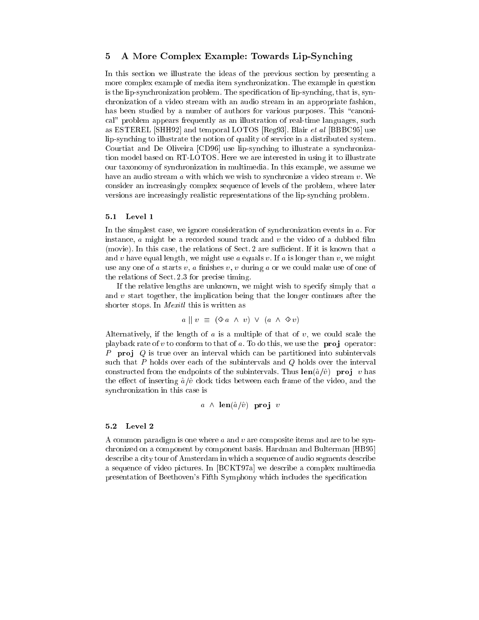# 5 A More Complex Example: Towards Lip-Synching

In this section we illustrate the ideas of the previous section by presenting a more complex example of media item synchronization. The example in question is the lip-synchronization problem. The specification of lip-synching, that is, synchronization of a video stream with an audio stream in an appropriate fashion, has been studied by a number of authors for various purposes. This "canonical" problem appears frequently as an illustration of real-time languages, such as ESTEREL [SHH92] and temporal LOTOS [Reg93]. Blair et al [BBBC95] use lip-synching to illustrate the notion of quality of service in a distributed system. Courtiat and De Oliveira [CD96] use lip-synching to illustrate a synchronization model based on RT-LOTOS. Here we are interested in using it to illustrate our taxonomy of synchronization in multimedia. In this example, we assume we have an audio stream a with which we wish to synchronize a video stream v. We consider an increasingly complex sequence of levels of the problem, where later versions are increasingly realistic representations of the lip-synching problem.

#### 5.1 Level 1

In the simplest case, we ignore consideration of synchronization events in a. For instance, a might be a recorded sound track and  $v$  the video of a dubbed film (movie). In this case, the relations of Sect. 2 are sufficient. If it is known that  $a$ and v have equal length, we might use a equals v. If a is longer than v, we might use any one of  $a$  starts  $v, a$  finishes  $v, v$  during  $a$  or we could make use of one of the relations of Sect. 2.3 for precise timing.

If the relative lengths are unknown, we might wish to specify simply that  $a$ and  $v$  start together, the implication being that the longer continues after the shorter stops. In Mexitl this is written as

$$
a \parallel v \equiv (\hat{\diamond} a \land v) \lor (a \land \hat{\diamond} v)
$$

Alternatively, if the length of  $a$  is a multiple of that of  $v$ , we could scale the playback rate of v to conform to that of  $a$ . To do this, we use the **proj** operator: **P** proj  $Q$  is true over an interval which can be partitioned into subintervals such that  $P$  holds over each of the subintervals and  $Q$  holds over the interval constructed from the endpoints of the subintervals. Thus  $\text{len}(\hat{a}/\hat{v})$  proj v has the effect of inserting  $\hat{a}/\hat{v}$  clock ticks between each frame of the video, and the synchronization in this case is

$$
a ~\wedge~ \textbf{len}(\hat{a} / \hat{v}) \textbf{ } \textbf{ } \textbf{proj} \textbf{ } ~v
$$

#### 5.2 Level 2

A common paradigm is one where  $a$  and  $v$  are composite items and are to be synchronized on a component by component basis. Hardman and Bulterman [HB95] describe a city tour of Amsterdam in which a sequence of audio segments describe a sequence of video pictures. In [BCKT97a] we describe a complex multimedia presentation of Beethoven's Fifth Symphony which includes the specication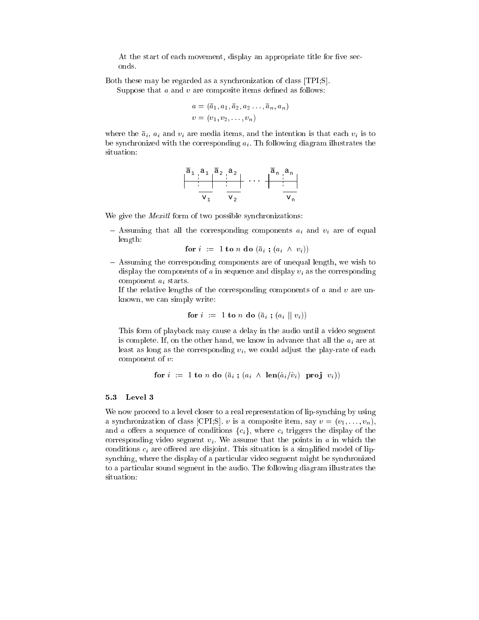At the start of each movement, display an appropriate title for five seconds.

Both these may be regarded as a synchronization of class [TPI;S].

Suppose that  $a$  and  $v$  are composite items defined as follows:

$$
a = (\bar{a}_1, a_1, \bar{a}_2, a_2 \dots, \bar{a}_n, a_n)
$$
  

$$
v = (v_1, v_2, \dots, v_n)
$$

where the  $\bar{a}_i$ ,  $a_i$  and  $v_i$  are media items, and the intention is that each  $v_i$  is to be synchronized with the corresponding  $a_i$ . The following diagram illustrates the situation:

$$
\begin{array}{|c|c|c|c|c|}\hline \bar{a}_1 & a_1 & \bar{a}_2 & a_2 & \\ \hline & \cdot & \cdot & \cdot & \cdot \\ \hline & \cdot & \cdot & \cdot & \cdot \\ \hline & v_1 & v_2 & & v_n \\ \hline\end{array}
$$

We give the *Mexitl* form of two possible synchronizations:

 ${\bf -}$  Assuming that all the corresponding components  $a_i$  and  $v_i$  are of equal length:

for  $i := 1$  to n do  $(\bar{a}_i ; (a_i \wedge v_i))$ 

- Assuming the corresponding components are of unequal length, we wish to display the components of  $a$  in sequence and display  $v_i$  as the corresponding component  $a_i$  starts.

If the relative lengths of the corresponding components of  $a$  and  $v$  are unknown, we can simply write:

$$
\mathbf{for} \; i \; := \; 1 \; \mathbf{to} \; n \; \mathbf{do} \; (\bar{a}_i \; ; \; (a_i \parallel v_i))
$$

This form of playback may cause a delay in the audio until a video segment is complete. If, on the other hand, we know in advance that all the  $a_i$  are at least as long as the corresponding  $v_i$ , we could adjust the play-rate of each component of v:

for 
$$
i := 1
$$
 to n do  $(\bar{a}_i ; (a_i \wedge \text{len}(\hat{a}_i / \hat{v}_i) \text{proj } v_i))$ 

### 5.3 Level 3

We now proceed to a level closer to a real representation of lip-synching by using a synchronization of class [CPI;S]. v is a composite item, say  $v = (v_1, \ldots, v_n)$ , and a offers a sequence of conditions  ${c_i}$ , where  $c_i$  triggers the display of the corresponding video segment  $v_i$ . We assume that the points in a in which the conditions  $c_i$  are offered are disjoint. This situation is a simplified model of lipsynching, where the display of a particular video segment might be synchronized to a particular sound segment in the audio. The following diagram illustrates the situation: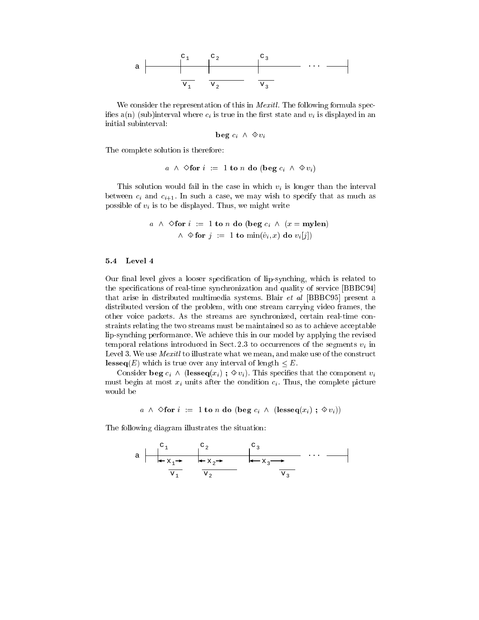

We consider the representation of this in *Mexitl*. The following formula specifies a(n) (sub)interval where  $c_i$  is true in the first state and  $v_i$  is displayed in an initial subinterval:

$$
\mathbf{beg}\mathop{} c_i\;\wedge\;\mathbin{\lozenge} v_i
$$

The complete solution is therefore:

$$
a \wedge \Diamond
$$
 for  $i := 1$  to n do (beg  $c_i \wedge \Diamond v_i$ )

This solution would fail in the case in which  $v_i$  is longer than the interval between  $c_i$  and  $c_{i+1}$ . In such a case, we may wish to specify that as much as possible of  $v_i$  is to be displayed. Thus, we might write

$$
a \land \Diamond \text{for } i := 1 \text{ to } n \text{ do } (\text{beg } c_i \land (x = \text{mylen})
$$

$$
\land \Diamond \text{for } j := 1 \text{ to } \min(\hat{v}_i, x) \text{ do } v_i[j])
$$

#### 5.4 Level 4

Our final level gives a looser specification of lip-synching, which is related to the specifications of real-time synchronization and quality of service [BBBC94] that arise in distributed multimedia systems. Blair et al [BBBC95] present a distributed version of the problem, with one stream carrying video frames, the other voice packets. As the streams are synchronized, certain real-time constraints relating the two streams must be maintained so as to achieve acceptable lip-synching performance. We achieve this in our model by applying the revised temporal relations introduced in Sect. 2.3 to occurrences of the segments  $v_i$  in Level 3. We use *Mexitl* to illustrate what we mean, and make use of the construct **lesseq**(E) which is true over any interval of length  $\leq E$ .

Consider beg  $c_i \wedge (\text{lessq}(x_i) ; \Diamond v_i)$ . This specifies that the component  $v_i$ must begin at most  $x_i$  units after the condition  $c_i$ . Thus, the complete picture would be

$$
a \wedge \Diamond
$$
 for  $i := 1$  to  $n$  do (beg  $c_i \wedge (\text{lessq}(x_i); \Diamond v_i)$ )

The following diagram illustrates the situation:

a ... x<sup>1</sup> x<sup>2</sup> x<sup>3</sup> v1 c<sup>1</sup> c<sup>2</sup> c<sup>3</sup> v<sup>2</sup> v<sup>3</sup>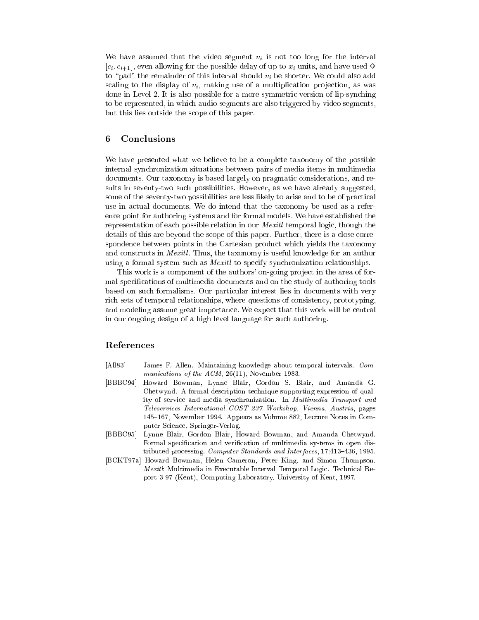We have assumed that the video segment  $v_i$  is not too long for the interval  $[c_i, c_{i+1}]$ , even allowing for the possible delay of up to  $x_i$  units, and have used  $\otimes$ to "pad" the remainder of this interval should  $v_i$  be shorter. We could also add scaling to the display of  $v_i$ , making use of a multiplication projection, as was done in Level 2. It is also possible for a more symmetric version of lip-synching to be represented, in which audio segments are also triggered by video segments, but this lies outside the scope of this paper.

### 6 Conclusions

We have presented what we believe to be a complete taxonomy of the possible internal synchronization situations between pairs of media items in multimedia documents. Our taxonomy is based largely on pragmatic considerations, and results in seventy-two such possibilities. However, as we have already suggested, some of the seventy-two possibilities are less likely to arise and to be of practical use in actual documents. We do intend that the taxonomy be used as a reference point for authoring systems and for formal models. We have established the representation of each possible relation in our Mexitl temporal logic, though the details of this are beyond the scope of this paper. Further, there is a close correspondence between points in the Cartesian product which yields the taxonomy and constructs in *Mexitl*. Thus, the taxonomy is useful knowledge for an author using a formal system such as Mexitl to specify synchronization relationships.

This work is a component of the authors' on-going project in the area of formal specications of multimedia documents and on the study of authoring tools based on such formalisms. Our particular interest lies in documents with very rich sets of temporal relationships, where questions of consistency, prototyping, and modeling assume great importance. We expect that this work will be central in our ongoing design of a high level language for such authoring.

### References

- [All83] James F. Allen. Maintaining knowledge about temporal intervals. Communications of the ACM, 26(11), November 1983.
- [BBBC94] Howard Bowman, Lynne Blair, Gordon S. Blair, and Amanda G. Chetwynd. A formal description technique supporting expression of quality of service and media synchronization. In Multimedia Transport and Teleservices International COST 237 Workshop, Vienna, Austria, pages 145-167, November 1994. Appears as Volume 882, Lecture Notes in Computer Science, Springer-Verlag.
- [BBBC95] Lynne Blair, Gordon Blair, Howard Bowman, and Amanda Chetwynd. Formal specification and verification of multimedia systems in open distributed processing. Computer Standards and Interfaces, 17:413-436, 1995.
- [BCKT97a] Howard Bowman, Helen Cameron, Peter King, and Simon Thompson. Mexitl: Multimedia in Executable Interval Temporal Logic. Technical Report 3-97 (Kent), Computing Laboratory, University of Kent, 1997.